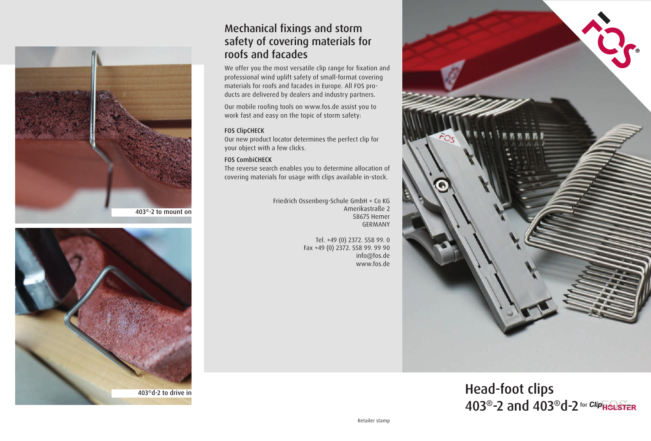



## Mechanical fixings and storm safety of covering materials for roofs and facades

We offer you the most versatile clip range for fixation and professional wind uplift safety of small-format covering materials for roofs and facades in Europe. All FOS products are delivered by dealers and industry partners.

Our mobile roofing tools on www.fos.de assist you to work fast and easy on the topic of storm safety:

## FOS ClipCHECK

Our new product locator determines the perfect clip for your object with a few clicks.

## FOS CombiCHECK

The reverse search enables you to determine allocation of covering materials for usage with clips available in-stock.

> Friedrich Ossenberg-Schule GmbH + Co KG Amerikastraße 2 58675 Hemer GERMANY

> > Tel. +49 (0) 2372. 558 99. 0 Fax +49 (0) 2372. 558 99. 99 90 info@fos.de www.fos.de



Head-foot clips 403<sup>®</sup>-2 and 403<sup>®</sup>d-2 for Clip<sub>HSLSTER</sub>